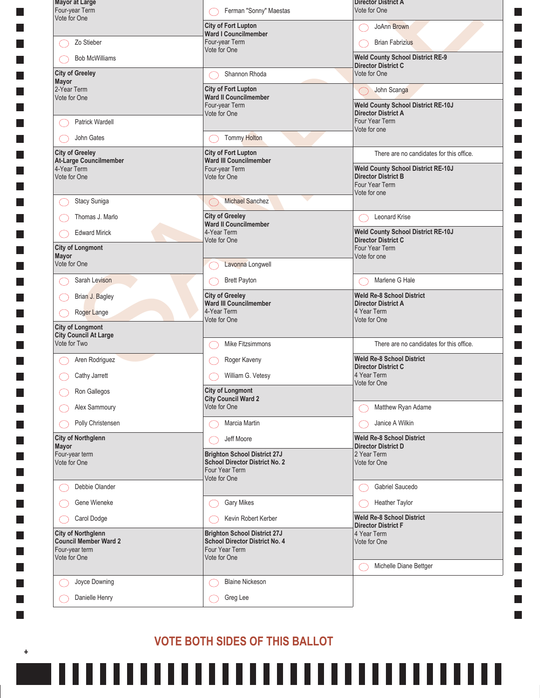| <b>Mayor at Large</b><br>Four-year Term                                     | Ferman "Sonny" Maestas                                                                         | <b>Director District A</b><br>Vote for One                                                                |
|-----------------------------------------------------------------------------|------------------------------------------------------------------------------------------------|-----------------------------------------------------------------------------------------------------------|
| Vote for One                                                                | <b>City of Fort Lupton</b>                                                                     | JoAnn Brown                                                                                               |
| Zo Stieber                                                                  | Ward I Councilmember<br>Four-year Term<br>Vote for One                                         | <b>Brian Fabrizius</b>                                                                                    |
| <b>Bob McWilliams</b>                                                       |                                                                                                | <b>Weld County School District RE-9</b><br><b>Director District C</b>                                     |
| <b>City of Greeley</b><br>Mayor                                             | Shannon Rhoda                                                                                  | Vote for One                                                                                              |
| 2-Year Term<br>Vote for One                                                 | <b>City of Fort Lupton</b><br><b>Ward II Councilmember</b><br>Four-year Term                   | John Scanga<br><b>Weld County School District RE-10J</b><br><b>Director District A</b>                    |
| Patrick Wardell                                                             | Vote for One                                                                                   | Four Year Term<br>Vote for one                                                                            |
| John Gates                                                                  | <b>Tommy Holton</b>                                                                            |                                                                                                           |
| <b>City of Greeley</b><br>At-Large Councilmember                            | <b>City of Fort Lupton</b><br><b>Ward III Councilmember</b>                                    | There are no candidates for this office.                                                                  |
| 4-Year Term<br>Vote for One                                                 | Four-year Term<br>Vote for One                                                                 | <b>Weld County School District RE-10J</b><br><b>Director District B</b><br>Four Year Term<br>Vote for one |
| Stacy Suniga                                                                | <b>Michael Sanchez</b>                                                                         |                                                                                                           |
| Thomas J. Marlo                                                             | <b>City of Greeley</b><br><b>Ward II Councilmember</b>                                         | <b>Leonard Krise</b>                                                                                      |
| <b>Edward Mirick</b><br><b>City of Longmont</b>                             | 4-Year Term<br>Vote for One                                                                    | <b>Weld County School District RE-10J</b><br><b>Director District C</b><br>Four Year Term                 |
| Mayor                                                                       |                                                                                                | Vote for one                                                                                              |
| Vote for One                                                                | Lavonna Longwell                                                                               |                                                                                                           |
| Sarah Levison                                                               | <b>Brett Payton</b>                                                                            | Marlene G Hale                                                                                            |
| Brian J. Bagley<br>Roger Lange                                              | <b>City of Greeley</b><br>Ward III Councilmember<br>4-Year Term                                | <b>Weld Re-8 School District</b><br><b>Director District A</b><br>4 Year Term                             |
| <b>City of Longmont</b>                                                     | Vote for One                                                                                   | Vote for One                                                                                              |
| <b>City Council At Large</b><br>Vote for Two                                | Mike Fitzsimmons                                                                               | There are no candidates for this office.                                                                  |
| Aren Rodriguez                                                              | Roger Kaveny                                                                                   | <b>Weld Re-8 School District</b>                                                                          |
| Cathy Jarrett                                                               | William G. Vetesy                                                                              | <b>Director District C</b><br>4 Year Term                                                                 |
| Ron Gallegos                                                                | <b>City of Longmont</b><br><b>City Council Ward 2</b>                                          | Vote for One                                                                                              |
| Alex Sammoury                                                               | Vote for One                                                                                   | Matthew Ryan Adame                                                                                        |
| Polly Christensen                                                           | Marcia Martin                                                                                  | Janice A Wilkin                                                                                           |
| <b>City of Northglenn</b><br>Mayor                                          | Jeff Moore                                                                                     | <b>Weld Re-8 School District</b><br><b>Director District D</b>                                            |
| Four-year term<br>Vote for One                                              | <b>Brighton School District 27J</b><br><b>School Director District No. 2</b><br>Four Year Term | 2 Year Term<br>Vote for One                                                                               |
| Debbie Olander                                                              | Vote for One                                                                                   | Gabriel Saucedo                                                                                           |
| Gene Wieneke                                                                | <b>Gary Mikes</b>                                                                              | Heather Taylor                                                                                            |
| Carol Dodge                                                                 | Kevin Robert Kerber                                                                            | <b>Weld Re-8 School District</b><br><b>Director District F</b>                                            |
| <b>City of Northglenn</b><br><b>Council Member Ward 2</b><br>Four-year term | <b>Brighton School District 27J</b><br><b>School Director District No. 4</b><br>Four Year Term | 4 Year Term<br>Vote for One                                                                               |
| Vote for One                                                                | Vote for One                                                                                   | Michelle Diane Bettger                                                                                    |
| Joyce Downing<br>С.                                                         | <b>Blaine Nickeson</b>                                                                         |                                                                                                           |
|                                                                             |                                                                                                |                                                                                                           |

## VOTE BOTH SIDES OF THIS BALLOT

П

 $\pm$ 

 $\mathbb{R}^n$ 

L. **The State The State The State**  $\mathbf{I}$ П П  $\Box$ П П **The State** I. П  $\mathbf{I}$ **The State The State** П П П П  $\mathbf{I}$ П П **The State The State** П П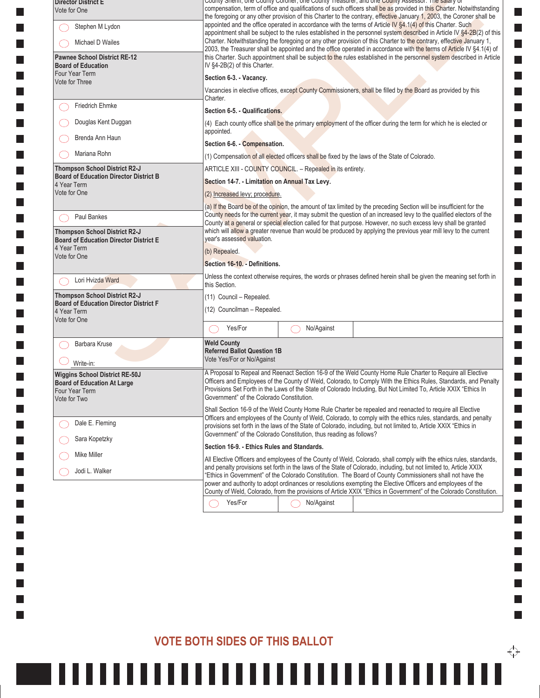| <b>Director District E</b><br>Vote for One                                            |                                                                  |                                                                    | <u>County Shenin, one County Coroner, one County Treasurer, and one County Assessor. The salary or</u><br>compensation, term of office and qualifications of such officers shall be as provided in this Charter. Notwithstanding<br>the foregoing or any other provision of this Charter to the contrary, effective January 1, 2003, the Coroner shall be             |
|---------------------------------------------------------------------------------------|------------------------------------------------------------------|--------------------------------------------------------------------|-----------------------------------------------------------------------------------------------------------------------------------------------------------------------------------------------------------------------------------------------------------------------------------------------------------------------------------------------------------------------|
| Stephen M Lydon                                                                       |                                                                  |                                                                    | appointed and the office operated in accordance with the terms of Article IV §4.1(4) of this Charter. Such                                                                                                                                                                                                                                                            |
| Michael D Wailes                                                                      |                                                                  |                                                                    | appointment shall be subject to the rules established in the personnel system described in Article IV §4-2B(2) of this<br>Charter. Notwithstanding the foregoing or any other provision of this Charter to the contrary, effective January 1,<br>2003, the Treasurer shall be appointed and the office operated in accordance with the terms of Article IV §4.1(4) of |
| <b>Pawnee School District RE-12</b><br><b>Board of Education</b>                      | IV §4-2B(2) of this Charter.                                     |                                                                    | this Charter. Such appointment shall be subject to the rules established in the personnel system described in Article                                                                                                                                                                                                                                                 |
| Four Year Term<br>Vote for Three                                                      | Section 6-3. - Vacancy.                                          |                                                                    |                                                                                                                                                                                                                                                                                                                                                                       |
|                                                                                       | Charter.                                                         |                                                                    | Vacancies in elective offices, except County Commissioners, shall be filled by the Board as provided by this                                                                                                                                                                                                                                                          |
| <b>Friedrich Ehmke</b>                                                                | Section 6-5. - Qualifications.                                   |                                                                    |                                                                                                                                                                                                                                                                                                                                                                       |
| Douglas Kent Duggan                                                                   | appointed.                                                       |                                                                    | (4) Each county office shall be the primary employment of the officer during the term for which he is elected or                                                                                                                                                                                                                                                      |
| Brenda Ann Haun                                                                       | Section 6-6. - Compensation.                                     |                                                                    |                                                                                                                                                                                                                                                                                                                                                                       |
| Mariana Rohn                                                                          |                                                                  |                                                                    | (1) Compensation of all elected officers shall be fixed by the laws of the State of Colorado.                                                                                                                                                                                                                                                                         |
| <b>Thompson School District R2-J</b>                                                  |                                                                  | ARTICLE XIII - COUNTY COUNCIL. - Repealed in its entirety.         |                                                                                                                                                                                                                                                                                                                                                                       |
| <b>Board of Education Director District B</b><br>4 Year Term                          | Section 14-7. - Limitation on Annual Tax Levy.                   |                                                                    |                                                                                                                                                                                                                                                                                                                                                                       |
| Vote for One                                                                          | (2) Increased levy; procedure.                                   |                                                                    |                                                                                                                                                                                                                                                                                                                                                                       |
|                                                                                       |                                                                  |                                                                    | (a) If the Board be of the opinion, the amount of tax limited by the preceding Section will be insufficient for the                                                                                                                                                                                                                                                   |
| Paul Bankes                                                                           |                                                                  |                                                                    | County needs for the current year, it may submit the question of an increased levy to the qualified electors of the<br>County at a general or special election called for that purpose. However, no such excess levy shall be granted                                                                                                                                 |
| <b>Thompson School District R2-J</b><br><b>Board of Education Director District E</b> | year's assessed valuation.                                       |                                                                    | which will allow a greater revenue than would be produced by applying the previous year mill levy to the current                                                                                                                                                                                                                                                      |
| 4 Year Term<br>Vote for One                                                           | (b) Repealed.                                                    |                                                                    |                                                                                                                                                                                                                                                                                                                                                                       |
|                                                                                       | Section 16-10. - Definitions.                                    |                                                                    |                                                                                                                                                                                                                                                                                                                                                                       |
| Lori Hvizda Ward                                                                      | this Section.                                                    |                                                                    | Unless the context otherwise requires, the words or phrases defined herein shall be given the meaning set forth in                                                                                                                                                                                                                                                    |
| <b>Thompson School District R2-J</b>                                                  | (11) Council - Repealed.                                         |                                                                    |                                                                                                                                                                                                                                                                                                                                                                       |
| <b>Board of Education Director District F</b><br>4 Year Term                          | (12) Councilman - Repealed.                                      |                                                                    |                                                                                                                                                                                                                                                                                                                                                                       |
| Vote for One                                                                          | Yes/For                                                          | No/Against                                                         |                                                                                                                                                                                                                                                                                                                                                                       |
| Barbara Kruse                                                                         | <b>Weld County</b>                                               |                                                                    |                                                                                                                                                                                                                                                                                                                                                                       |
| Write-in:                                                                             | <b>Referred Ballot Question 1B</b><br>Vote Yes/For or No/Against |                                                                    |                                                                                                                                                                                                                                                                                                                                                                       |
| <b>Wiggins School District RE-50J</b>                                                 |                                                                  |                                                                    | A Proposal to Repeal and Reenact Section 16-9 of the Weld County Home Rule Charter to Require all Elective                                                                                                                                                                                                                                                            |
| <b>Board of Education At Large</b><br>Four Year Term                                  | Government" of the Colorado Constitution.                        |                                                                    | Officers and Employees of the County of Weld, Colorado, to Comply With the Ethics Rules, Standards, and Penalty<br>Provisions Set Forth in the Laws of the State of Colorado Including, But Not Limited To, Article XXIX "Ethics In                                                                                                                                   |
| Vote for Two                                                                          |                                                                  |                                                                    | Shall Section 16-9 of the Weld County Home Rule Charter be repealed and reenacted to require all Elective                                                                                                                                                                                                                                                             |
| Dale E. Fleming                                                                       |                                                                  |                                                                    | Officers and employees of the County of Weld, Colorado, to comply with the ethics rules, standards, and penalty<br>provisions set forth in the laws of the State of Colorado, including, but not limited to, Article XXIX "Ethics in                                                                                                                                  |
| Sara Kopetzky                                                                         |                                                                  | Government" of the Colorado Constitution, thus reading as follows? |                                                                                                                                                                                                                                                                                                                                                                       |
| Mike Miller                                                                           | Section 16-9. - Ethics Rules and Standards.                      |                                                                    |                                                                                                                                                                                                                                                                                                                                                                       |
| Jodi L. Walker                                                                        |                                                                  |                                                                    | All Elective Officers and employees of the County of Weld, Colorado, shall comply with the ethics rules, standards,<br>and penalty provisions set forth in the laws of the State of Colorado, including, but not limited to, Article XXIX                                                                                                                             |
|                                                                                       |                                                                  |                                                                    | "Ethics in Government" of the Colorado Constitution. The Board of County Commissioners shall not have the<br>power and authority to adopt ordinances or resolutions exempting the Elective Officers and employees of the<br>County of Weld, Colorado, from the provisions of Article XXIX "Ethics in Government" of the Colorado Constitution.                        |
|                                                                                       | Yes/For                                                          | No/Against                                                         |                                                                                                                                                                                                                                                                                                                                                                       |
|                                                                                       |                                                                  |                                                                    |                                                                                                                                                                                                                                                                                                                                                                       |

ш

×.

 $\mathbb{R}^n$ 

 $\overleftrightarrow{\downarrow}$ 

П

**I** L. **The State Tale**  $\mathbf{I}$ **The State** 

 $\Box$ П П П **The State** 

 $\Box$ **The State** H П  $\mathbf{I}$  $\Box$ **Tara** П П

П **College**  $\Box$  $\Box$ П П H П

 $\Box$ П П

#### VOTE BOTH SIDES OF THIS BALLOT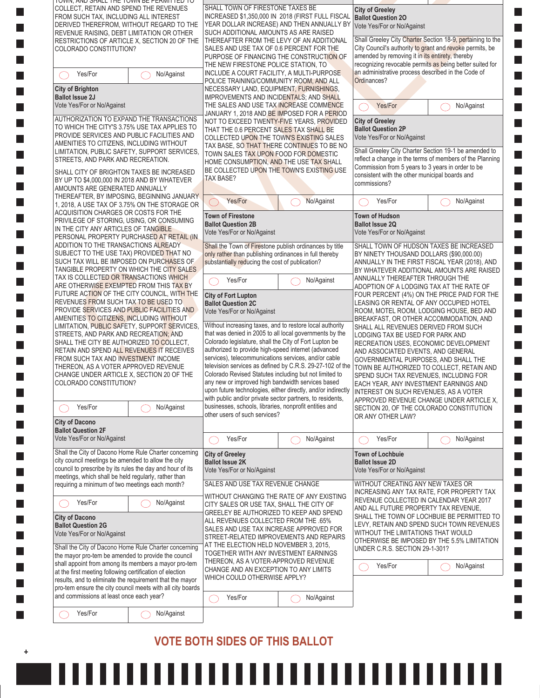| TUWN, AND STALL THE TUWN BE PERMITTED TO<br>COLLECT. RETAIN AND SPEND THE REVENUES                                |                                                            | SHALL TOWN OF FIRESTONE TAXES BE                                                                              |                                                              | <b>City of Greeley</b>                                                                                                                 |                                                            |  |
|-------------------------------------------------------------------------------------------------------------------|------------------------------------------------------------|---------------------------------------------------------------------------------------------------------------|--------------------------------------------------------------|----------------------------------------------------------------------------------------------------------------------------------------|------------------------------------------------------------|--|
| FROM SUCH TAX, INCLUDING ALL INTEREST<br>DERIVED THEREFROM, WITHOUT REGARD TO THE                                 |                                                            | INCREASED \$1,350,000 IN 2018 (FIRST FULL FISCAL<br>YEAR DOLLAR INCREASE) AND THEN ANNUALLY BY                |                                                              | <b>Ballot Question 20</b>                                                                                                              |                                                            |  |
| REVENUE RAISING, DEBT LIMITATION OR OTHER                                                                         |                                                            | SUCH ADDITIONAL AMOUNTS AS ARE RAISED                                                                         |                                                              | Vote Yes/For or No/Against                                                                                                             |                                                            |  |
| COLORADO CONSTITUTION?                                                                                            | RESTRICTIONS OF ARTICLE X, SECTION 20 OF THE               | THEREAFTER FROM THE LEVY OF AN ADDITIONAL<br>SALES AND USE TAX OF 0.6 PERCENT FOR THE                         |                                                              | City Council's authority to grant and revoke permits, be                                                                               | Shall Greeley City Charter Section 18-9, pertaining to the |  |
|                                                                                                                   |                                                            | PURPOSE OF FINANCING THE CONSTRUCTION OF                                                                      |                                                              | amended by removing it in its entirety, thereby<br>recognizing revocable permits as being better suited for                            |                                                            |  |
| Yes/For                                                                                                           | No/Against                                                 | THE NEW FIRESTONE POLICE STATION, TO<br>INCLUDE A COURT FACILITY, A MULTI-PURPOSE                             |                                                              | an administrative process described in the Code of                                                                                     |                                                            |  |
| <b>City of Brighton</b>                                                                                           |                                                            | POLICE TRAINING/COMMUNITY ROOM, AND ALL                                                                       |                                                              | Ordinances?                                                                                                                            |                                                            |  |
| <b>Ballot Issue 2J</b>                                                                                            |                                                            | NECESSARY LAND, EQUIPMENT, FURNISHINGS,<br>IMPROVEMENTS AND INCIDENTALS; AND SHALL                            |                                                              |                                                                                                                                        |                                                            |  |
| Vote Yes/For or No/Against                                                                                        |                                                            | THE SALES AND USE TAX INCREASE COMMENCE<br>JANUARY 1, 2018 AND BE IMPOSED FOR A PERIOD                        |                                                              | Yes/For                                                                                                                                | No/Against                                                 |  |
| AUTHORIZATION TO EXPAND THE TRANSACTIONS                                                                          |                                                            | NOT TO EXCEED TWENTY-FIVE YEARS, PROVIDED                                                                     |                                                              | <b>City of Greeley</b>                                                                                                                 |                                                            |  |
| TO WHICH THE CITY'S 3.75% USE TAX APPLIES TO<br>PROVIDE SERVICES AND PUBLIC FACILITIES AND                        |                                                            | THAT THE 0.6 PERCENT SALES TAX SHALL BE<br>COLLECTED UPON THE TOWN'S EXISTING SALES                           |                                                              | <b>Ballot Question 2P</b><br>Vote Yes/For or No/Against                                                                                |                                                            |  |
| AMENITIES TO CITIZENS, INCLUDING WITHOUT                                                                          |                                                            | TAX BASE, SO THAT THERE CONTINUES TO BE NO                                                                    |                                                              |                                                                                                                                        |                                                            |  |
| LIMITATION, PUBLIC SAFETY, SUPPORT SERVICES,<br>STREETS, AND PARK AND RECREATION.                                 |                                                            | TOWN SALES TAX UPON FOOD FOR DOMESTIC<br>HOME CONSUMPTION, AND THE USE TAX SHALL                              |                                                              | Shall Greeley City Charter Section 19-1 be amended to<br>reflect a change in the terms of members of the Planning                      |                                                            |  |
| SHALL CITY OF BRIGHTON TAXES BE INCREASED                                                                         |                                                            | BE COLLECTED UPON THE TOWN'S EXISTING USE                                                                     |                                                              | Commission from 5 years to 3 years in order to be<br>consistent with the other municipal boards and                                    |                                                            |  |
| BY UP TO \$4,000,000 IN 2018 AND BY WHATEVER                                                                      |                                                            | <b>TAX BASE?</b>                                                                                              |                                                              | commissions?                                                                                                                           |                                                            |  |
| AMOUNTS ARE GENERATED ANNUALLY<br>THEREAFTER, BY IMPOSING, BEGINNING JANUARY                                      |                                                            | Yes/For                                                                                                       | No/Against                                                   | Yes/For                                                                                                                                | No/Against                                                 |  |
| 1, 2018, A USE TAX OF 3.75% ON THE STORAGE OR<br>ACQUISITION CHARGES OR COSTS FOR THE                             |                                                            | $(\quad)$                                                                                                     |                                                              |                                                                                                                                        |                                                            |  |
| PRIVILEGE OF STORING, USING, OR CONSUMING                                                                         |                                                            | <b>Town of Firestone</b><br><b>Ballot Question 2B</b>                                                         |                                                              | <b>Town of Hudson</b><br><b>Ballot Issue 2Q</b>                                                                                        |                                                            |  |
| IN THE CITY ANY ARTICLES OF TANGIBLE<br>PERSONAL PROPERTY PURCHASED AT RETAIL (IN                                 |                                                            | Vote Yes/For or No/Against                                                                                    |                                                              | Vote Yes/For or No/Against                                                                                                             |                                                            |  |
| ADDITION TO THE TRANSACTIONS ALREADY                                                                              |                                                            | Shall the Town of Firestone publish ordinances by title                                                       |                                                              | SHALL TOWN OF HUDSON TAXES BE INCREASED                                                                                                |                                                            |  |
| SUBJECT TO THE USE TAX) PROVIDED THAT NO<br>SUCH TAX WILL BE IMPOSED ON PURCHASES OF                              |                                                            | only rather than publishing ordinances in full thereby<br>substantially reducing the cost of publication?     |                                                              | BY NINETY THOUSAND DOLLARS (\$90,000.00)<br>ANNUALLY IN THE FIRST FISCAL YEAR (2018), AND<br>BY WHATEVER ADDITIONAL AMOUNTS ARE RAISED |                                                            |  |
| TANGIBLE PROPERTY ON WHICH THE CITY SALES                                                                         |                                                            |                                                                                                               |                                                              |                                                                                                                                        |                                                            |  |
| TAX IS COLLECTED OR TRANSACTIONS WHICH<br>ARE OTHERWISE EXEMPTED FROM THIS TAX BY                                 |                                                            | Yes/For<br>No/Against                                                                                         |                                                              | ANNUALLY THEREAFTER THROUGH THE<br>ADOPTION OF A LODGING TAX AT THE RATE OF                                                            |                                                            |  |
| FUTURE ACTION OF THE CITY COUNCIL, WITH THE                                                                       |                                                            | <b>City of Fort Lupton</b>                                                                                    |                                                              | FOUR PERCENT (4%) ON THE PRICE PAID FOR THE                                                                                            |                                                            |  |
| REVENUES FROM SUCH TAX TO BE USED TO<br>PROVIDE SERVICES AND PUBLIC FACILITIES AND                                |                                                            | <b>Ballot Question 2C</b><br>Vote Yes/For or No/Against                                                       |                                                              | LEASING OR RENTAL OF ANY OCCUPIED HOTEL<br>ROOM, MOTEL ROOM, LODGING HOUSE, BED AND                                                    |                                                            |  |
| AMENITIES TO CITIZENS, INCLUDING WITHOUT                                                                          |                                                            | Without increasing taxes, and to restore local authority                                                      |                                                              | BREAKFAST, OR OTHER ACCOMMODATION, AND                                                                                                 |                                                            |  |
| LIMITATION, PUBLIC SAFETY, SUPPORT SERVICES,<br>STREETS, AND PARK AND RECREATION; AND                             |                                                            | that was denied in 2005 to all local governments by the                                                       |                                                              | SHALL ALL REVENUES DERIVED FROM SUCH<br>LODGING TAX BE USED FOR PARK AND                                                               |                                                            |  |
| SHALL THE CITY BE AUTHORIZED TO COLLECT,<br>RETAIN AND SPEND ALL REVENUES IT RECEIVES                             |                                                            | Colorado legislature, shall the City of Fort Lupton be<br>authorized to provide high-speed internet (advanced |                                                              | RECREATION USES, ECONOMIC DEVELOPMENT<br>AND ASSOCIATED EVENTS, AND GENERAL                                                            |                                                            |  |
| FROM SUCH TAX AND INVESTMENT INCOME                                                                               |                                                            | services), telecommunications services, and/or cable                                                          |                                                              | GOVERNMENTAL PURPOSES, AND SHALL THE                                                                                                   |                                                            |  |
| THEREON, AS A VOTER APPROVED REVENUE<br>CHANGE UNDER ARTICLE X, SECTION 20 OF THE                                 |                                                            | Colorado Revised Statutes including but not limited to                                                        | television services as defined by C.R.S. 29-27-102 of the    | TOWN BE AUTHORIZED TO COLLECT, RETAIN AND<br>SPEND SUCH TAX REVENUES, INCLUDING FOR                                                    |                                                            |  |
| COLORADO CONSTITUTION?                                                                                            |                                                            | any new or improved high bandwidth services based                                                             |                                                              | EACH YEAR, ANY INVESTMENT EARNINGS AND                                                                                                 |                                                            |  |
|                                                                                                                   |                                                            | with public and/or private sector partners, to residents,                                                     | upon future technologies, either directly, and/or indirectly | INTEREST ON SUCH REVENUES, AS A VOTER<br>APPROVED REVENUE CHANGE UNDER ARTICLE X,                                                      |                                                            |  |
| Yes/For                                                                                                           | No/Against                                                 | businesses, schools, libraries, nonprofit entities and<br>other users of such services?                       |                                                              | SECTION 20, OF THE COLORADO CONSTITUTION                                                                                               |                                                            |  |
| <b>City of Dacono</b>                                                                                             |                                                            |                                                                                                               |                                                              | OR ANY OTHER LAW?                                                                                                                      |                                                            |  |
| <b>Ballot Question 2F</b><br>Vote Yes/For or No/Against                                                           |                                                            | Yes/For                                                                                                       | No/Against                                                   | Yes/For                                                                                                                                | No/Against                                                 |  |
| Shall the City of Dacono Home Rule Charter concerning                                                             |                                                            | <b>City of Greeley</b>                                                                                        |                                                              | <b>Town of Lochbuie</b>                                                                                                                |                                                            |  |
| city council meetings be amended to allow the city                                                                |                                                            | <b>Ballot Issue 2K</b>                                                                                        |                                                              | <b>Ballot Issue 2D</b>                                                                                                                 |                                                            |  |
| council to prescribe by its rules the day and hour of its<br>meetings, which shall be held regularly, rather than |                                                            | Vote Yes/For or No/Against                                                                                    |                                                              | Vote Yes/For or No/Against                                                                                                             |                                                            |  |
| requiring a minimum of two meetings each month?                                                                   |                                                            | SALES AND USE TAX REVENUE CHANGE                                                                              |                                                              | WITHOUT CREATING ANY NEW TAXES OR                                                                                                      |                                                            |  |
| Yes/For                                                                                                           | No/Against                                                 | WITHOUT CHANGING THE RATE OF ANY EXISTING                                                                     |                                                              | INCREASING ANY TAX RATE, FOR PROPERTY TAX<br>REVENUE COLLECTED IN CALENDAR YEAR 2017                                                   |                                                            |  |
|                                                                                                                   |                                                            | CITY SALES OR USE TAX, SHALL THE CITY OF<br>GREELEY BE AUTHORIZED TO KEEP AND SPEND                           |                                                              | AND ALL FUTURE PROPERTY TAX REVENUE.                                                                                                   | SHALL THE TOWN OF LOCHBUIE BE PERMITTED TO                 |  |
| <b>City of Dacono</b><br><b>Ballot Question 2G</b>                                                                |                                                            | ALL REVENUES COLLECTED FROM THE .65%<br>SALES AND USE TAX INCREASE APPROVED FOR                               |                                                              |                                                                                                                                        | LEVY, RETAIN AND SPEND SUCH TOWN REVENUES                  |  |
| Vote Yes/For or No/Against                                                                                        |                                                            | STREET-RELATED IMPROVEMENTS AND REPAIRS                                                                       |                                                              | WITHOUT THE LIMITATIONS THAT WOULD                                                                                                     | OTHERWISE BE IMPOSED BY THE 5.5% LIMITATION                |  |
| Shall the City of Dacono Home Rule Charter concerning                                                             |                                                            | AT THE ELECTION HELD NOVEMBER 3, 2015,<br>TOGETHER WITH ANY INVESTMENT EARNINGS                               |                                                              | UNDER C.R.S. SECTION 29-1-301?                                                                                                         |                                                            |  |
| the mayor pro-tem be amended to provide the council<br>shall appoint from among its members a mayor pro-tem       |                                                            | THEREON, AS A VOTER-APPROVED REVENUE                                                                          |                                                              | Yes/For                                                                                                                                |                                                            |  |
|                                                                                                                   | at the first meeting following certification of election   | CHANGE AND AN EXCEPTION TO ANY LIMITS<br>WHICH COULD OTHERWISE APPLY?                                         |                                                              |                                                                                                                                        | No/Against                                                 |  |
|                                                                                                                   |                                                            |                                                                                                               |                                                              |                                                                                                                                        |                                                            |  |
|                                                                                                                   |                                                            |                                                                                                               |                                                              |                                                                                                                                        |                                                            |  |
| results, and to eliminate the requirement that the mayor<br>and commissions at least once each year?              | pro-tem ensure the city council meets with all city boards | Yes/For                                                                                                       | No/Against                                                   |                                                                                                                                        |                                                            |  |
| Yes/For                                                                                                           | No/Against                                                 |                                                                                                               |                                                              |                                                                                                                                        |                                                            |  |

## VOTE BOTH SIDES OF THIS BALLOT

 $\mathbb{R}^n$ 

**Tara Tara Tara Tara**  $\mathbf{I}$ П П  $\Box$ П П **The State** I. П I. П **The State** П П П  $\mathbf{I}$ П П **The State The State** П П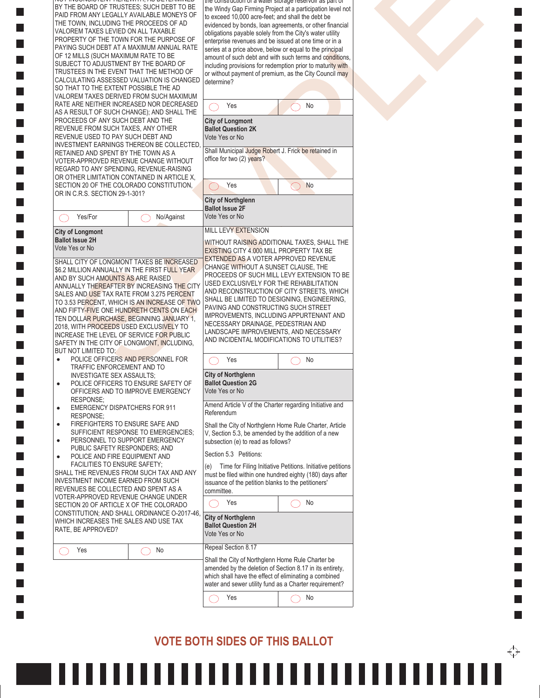| the construction of a water storage reservoir as part of<br>BY THE BOARD OF TRUSTEES; SUCH DEBT TO BE<br>the Windy Gap Firming Project at a participation level not<br>PAID FROM ANY LEGALLY AVAILABLE MONEYS OF<br>to exceed 10,000 acre-feet; and shall the debt be<br>THE TOWN, INCLUDING THE PROCEEDS OF AD<br>evidenced by bonds, loan agreements, or other financial<br>VALOREM TAXES LEVIED ON ALL TAXABLE<br>obligations payable solely from the City's water utility<br>PROPERTY OF THE TOWN FOR THE PURPOSE OF<br>enterprise revenues and be issued at one time or in a<br>PAYING SUCH DEBT AT A MAXIMUM ANNUAL RATE<br>series at a price above, below or equal to the principal<br>OF 12 MILLS (SUCH MAXIMUM RATE TO BE<br>amount of such debt and with such terms and conditions.<br>SUBJECT TO ADJUSTMENT BY THE BOARD OF<br>including provisions for redemption prior to maturity with<br>TRUSTEES IN THE EVENT THAT THE METHOD OF<br>or without payment of premium, as the City Council may<br>CALCULATING ASSESSED VALUATION IS CHANGED<br>determine?<br>SO THAT TO THE EXTENT POSSIBLE THE AD<br>VALOREM TAXES DERIVED FROM SUCH MAXIMUM<br>RATE ARE NEITHER INCREASED NOR DECREASED<br>No<br>Yes<br>AS A RESULT OF SUCH CHANGE); AND SHALL THE<br>PROCEEDS OF ANY SUCH DEBT AND THE<br><b>City of Longmont</b><br>REVENUE FROM SUCH TAXES, ANY OTHER<br><b>Ballot Question 2K</b><br>REVENUE USED TO PAY SUCH DEBT AND<br>Vote Yes or No<br><b>INVESTMENT EARNINGS THEREON BE COLLECTED.</b><br>Shall Municipal Judge Robert J. Frick be retained in<br>RETAINED AND SPENT BY THE TOWN AS A<br>office for two (2) years?<br>VOTER-APPROVED REVENUE CHANGE WITHOUT<br>REGARD TO ANY SPENDING, REVENUE-RAISING<br>OR OTHER LIMITATION CONTAINED IN ARTICLE X,<br>Yes<br>No<br>SECTION 20 OF THE COLORADO CONSTITUTION.<br>OR IN C.R.S. SECTION 29-1-301?<br><b>City of Northglenn</b><br><b>Ballot Issue 2F</b><br>Vote Yes or No<br>Yes/For<br>No/Against<br>MILL LEVY EXTENSION<br><b>City of Longmont</b><br><b>Ballot Issue 2H</b><br>WITHOUT RAISING ADDITIONAL TAXES, SHALL THE<br>Vote Yes or No<br>EXISTING CITY 4.000 MILL PROPERTY TAX BE<br>EXTENDED AS A VOTER APPROVED REVENUE<br>SHALL CITY OF LONGMONT TAXES BE INCREASED<br>CHANGE WITHOUT A SUNSET CLAUSE, THE<br>\$6.2 MILLION ANNUALLY IN THE FIRST FULL YEAR<br>PROCEEDS OF SUCH MILL LEVY EXTENSION TO BE<br>AND BY SUCH AMOUNTS AS ARE RAISED<br>USED EXCLUSIVELY FOR THE REHABILITATION<br>ANNUALLY THEREAFTER BY INCREASING THE CITY<br>AND RECONSTRUCTION OF CITY STREETS, WHICH<br>SALES AND USE TAX RATE FROM 3.275 PERCENT<br>SHALL BE LIMITED TO DESIGNING, ENGINEERING,<br>TO 3.53 PERCENT, WHICH IS AN INCREASE OF TWO<br>PAVING AND CONSTRUCTING SUCH STREET<br>AND FIFTY-FIVE ONE HUNDRETH CENTS ON EACH<br>IMPROVEMENTS, INCLUDING APPURTENANT AND<br>TEN DOLLAR PURCHASE, BEGINNING JANUARY 1,<br>NECESSARY DRAINAGE, PEDESTRIAN AND<br>2018, WITH PROCEEDS USED EXCLUSIVELY TO<br>LANDSCAPE IMPROVEMENTS, AND NECESSARY<br>INCREASE THE LEVEL OF SERVICE FOR PUBLIC<br>AND INCIDENTAL MODIFICATIONS TO UTILITIES?<br>SAFETY IN THE CITY OF LONGMONT, INCLUDING,<br>BUT NOT LIMITED TO:<br>POLICE OFFICERS AND PERSONNEL FOR<br>Yes<br>No<br>٠<br>TRAFFIC ENFORCEMENT AND TO<br><b>City of Northglenn</b><br>INVESTIGATE SEX ASSAULTS;<br><b>Ballot Question 2G</b><br>POLICE OFFICERS TO ENSURE SAFETY OF<br>٠<br>Vote Yes or No<br>OFFICERS AND TO IMPROVE EMERGENCY<br>RESPONSE;<br>Amend Article V of the Charter regarding Initiative and<br><b>EMERGENCY DISPATCHERS FOR 911</b><br>$\bullet$<br>Referendum<br>RESPONSE;<br>FIREFIGHTERS TO ENSURE SAFE AND<br>Shall the City of Northglenn Home Rule Charter, Article<br>٠<br>SUFFICIENT RESPONSE TO EMERGENCIES;<br>V, Section 5.3, be amended by the addition of a new<br>PERSONNEL TO SUPPORT EMERGENCY<br>subsection (e) to read as follows?<br>٠<br>PUBLIC SAFETY RESPONDERS; AND<br>Section 5.3 Petitions:<br>POLICE AND FIRE EQUIPMENT AND<br>$\bullet$<br>FACILITIES TO ENSURE SAFETY;<br>Time for Filing Initiative Petitions. Initiative petitions<br>(e)<br>SHALL THE REVENUES FROM SUCH TAX AND ANY<br>must be filed within one hundred eighty (180) days after<br>INVESTMENT INCOME EARNED FROM SUCH<br>issuance of the petition blanks to the petitioners'<br>REVENUES BE COLLECTED AND SPENT AS A<br>committee.<br>VOTER-APPROVED REVENUE CHANGE UNDER<br>Yes<br>No<br>SECTION 20 OF ARTICLE X OF THE COLORADO<br>CONSTITUTION; AND SHALL ORDINANCE O-2017-46,<br><b>City of Northglenn</b><br>WHICH INCREASES THE SALES AND USE TAX<br><b>Ballot Question 2H</b><br>RATE, BE APPROVED?<br>Vote Yes or No<br>Repeal Section 8.17<br>Yes<br>No<br>Shall the City of Northglenn Home Rule Charter be<br>amended by the deletion of Section 8.17 in its entirety,<br>which shall have the effect of eliminating a combined<br>water and sewer utility fund as a Charter requirement?<br>Yes<br>No |  |  |  |
|-------------------------------------------------------------------------------------------------------------------------------------------------------------------------------------------------------------------------------------------------------------------------------------------------------------------------------------------------------------------------------------------------------------------------------------------------------------------------------------------------------------------------------------------------------------------------------------------------------------------------------------------------------------------------------------------------------------------------------------------------------------------------------------------------------------------------------------------------------------------------------------------------------------------------------------------------------------------------------------------------------------------------------------------------------------------------------------------------------------------------------------------------------------------------------------------------------------------------------------------------------------------------------------------------------------------------------------------------------------------------------------------------------------------------------------------------------------------------------------------------------------------------------------------------------------------------------------------------------------------------------------------------------------------------------------------------------------------------------------------------------------------------------------------------------------------------------------------------------------------------------------------------------------------------------------------------------------------------------------------------------------------------------------------------------------------------------------------------------------------------------------------------------------------------------------------------------------------------------------------------------------------------------------------------------------------------------------------------------------------------------------------------------------------------------------------------------------------------------------------------------------------------------------------------------------------------------------------------------------------------------------------------------------------------------------------------------------------------------------------------------------------------------------------------------------------------------------------------------------------------------------------------------------------------------------------------------------------------------------------------------------------------------------------------------------------------------------------------------------------------------------------------------------------------------------------------------------------------------------------------------------------------------------------------------------------------------------------------------------------------------------------------------------------------------------------------------------------------------------------------------------------------------------------------------------------------------------------------------------------------------------------------------------------------------------------------------------------------------------------------------------------------------------------------------------------------------------------------------------------------------------------------------------------------------------------------------------------------------------------------------------------------------------------------------------------------------------------------------------------------------------------------------------------------------------------------------------------------------------------------------------------------------------------------------------------------------------------------------------------------------------------------------------------------------------------------------------------------------------------------------------------------------------------------------------------------------------------------------------------------------------------------------------------------------------------------------------------------------------------------------------------------------------------------------------------------------------------------------------------------------------------------------------------------------------------------------------------------|--|--|--|
|                                                                                                                                                                                                                                                                                                                                                                                                                                                                                                                                                                                                                                                                                                                                                                                                                                                                                                                                                                                                                                                                                                                                                                                                                                                                                                                                                                                                                                                                                                                                                                                                                                                                                                                                                                                                                                                                                                                                                                                                                                                                                                                                                                                                                                                                                                                                                                                                                                                                                                                                                                                                                                                                                                                                                                                                                                                                                                                                                                                                                                                                                                                                                                                                                                                                                                                                                                                                                                                                                                                                                                                                                                                                                                                                                                                                                                                                                                                                                                                                                                                                                                                                                                                                                                                                                                                                                                                                                                                                                                                                                                                                                                                                                                                                                                                                                                                                                                                                                                         |  |  |  |
|                                                                                                                                                                                                                                                                                                                                                                                                                                                                                                                                                                                                                                                                                                                                                                                                                                                                                                                                                                                                                                                                                                                                                                                                                                                                                                                                                                                                                                                                                                                                                                                                                                                                                                                                                                                                                                                                                                                                                                                                                                                                                                                                                                                                                                                                                                                                                                                                                                                                                                                                                                                                                                                                                                                                                                                                                                                                                                                                                                                                                                                                                                                                                                                                                                                                                                                                                                                                                                                                                                                                                                                                                                                                                                                                                                                                                                                                                                                                                                                                                                                                                                                                                                                                                                                                                                                                                                                                                                                                                                                                                                                                                                                                                                                                                                                                                                                                                                                                                                         |  |  |  |
|                                                                                                                                                                                                                                                                                                                                                                                                                                                                                                                                                                                                                                                                                                                                                                                                                                                                                                                                                                                                                                                                                                                                                                                                                                                                                                                                                                                                                                                                                                                                                                                                                                                                                                                                                                                                                                                                                                                                                                                                                                                                                                                                                                                                                                                                                                                                                                                                                                                                                                                                                                                                                                                                                                                                                                                                                                                                                                                                                                                                                                                                                                                                                                                                                                                                                                                                                                                                                                                                                                                                                                                                                                                                                                                                                                                                                                                                                                                                                                                                                                                                                                                                                                                                                                                                                                                                                                                                                                                                                                                                                                                                                                                                                                                                                                                                                                                                                                                                                                         |  |  |  |
|                                                                                                                                                                                                                                                                                                                                                                                                                                                                                                                                                                                                                                                                                                                                                                                                                                                                                                                                                                                                                                                                                                                                                                                                                                                                                                                                                                                                                                                                                                                                                                                                                                                                                                                                                                                                                                                                                                                                                                                                                                                                                                                                                                                                                                                                                                                                                                                                                                                                                                                                                                                                                                                                                                                                                                                                                                                                                                                                                                                                                                                                                                                                                                                                                                                                                                                                                                                                                                                                                                                                                                                                                                                                                                                                                                                                                                                                                                                                                                                                                                                                                                                                                                                                                                                                                                                                                                                                                                                                                                                                                                                                                                                                                                                                                                                                                                                                                                                                                                         |  |  |  |
|                                                                                                                                                                                                                                                                                                                                                                                                                                                                                                                                                                                                                                                                                                                                                                                                                                                                                                                                                                                                                                                                                                                                                                                                                                                                                                                                                                                                                                                                                                                                                                                                                                                                                                                                                                                                                                                                                                                                                                                                                                                                                                                                                                                                                                                                                                                                                                                                                                                                                                                                                                                                                                                                                                                                                                                                                                                                                                                                                                                                                                                                                                                                                                                                                                                                                                                                                                                                                                                                                                                                                                                                                                                                                                                                                                                                                                                                                                                                                                                                                                                                                                                                                                                                                                                                                                                                                                                                                                                                                                                                                                                                                                                                                                                                                                                                                                                                                                                                                                         |  |  |  |
|                                                                                                                                                                                                                                                                                                                                                                                                                                                                                                                                                                                                                                                                                                                                                                                                                                                                                                                                                                                                                                                                                                                                                                                                                                                                                                                                                                                                                                                                                                                                                                                                                                                                                                                                                                                                                                                                                                                                                                                                                                                                                                                                                                                                                                                                                                                                                                                                                                                                                                                                                                                                                                                                                                                                                                                                                                                                                                                                                                                                                                                                                                                                                                                                                                                                                                                                                                                                                                                                                                                                                                                                                                                                                                                                                                                                                                                                                                                                                                                                                                                                                                                                                                                                                                                                                                                                                                                                                                                                                                                                                                                                                                                                                                                                                                                                                                                                                                                                                                         |  |  |  |
|                                                                                                                                                                                                                                                                                                                                                                                                                                                                                                                                                                                                                                                                                                                                                                                                                                                                                                                                                                                                                                                                                                                                                                                                                                                                                                                                                                                                                                                                                                                                                                                                                                                                                                                                                                                                                                                                                                                                                                                                                                                                                                                                                                                                                                                                                                                                                                                                                                                                                                                                                                                                                                                                                                                                                                                                                                                                                                                                                                                                                                                                                                                                                                                                                                                                                                                                                                                                                                                                                                                                                                                                                                                                                                                                                                                                                                                                                                                                                                                                                                                                                                                                                                                                                                                                                                                                                                                                                                                                                                                                                                                                                                                                                                                                                                                                                                                                                                                                                                         |  |  |  |
|                                                                                                                                                                                                                                                                                                                                                                                                                                                                                                                                                                                                                                                                                                                                                                                                                                                                                                                                                                                                                                                                                                                                                                                                                                                                                                                                                                                                                                                                                                                                                                                                                                                                                                                                                                                                                                                                                                                                                                                                                                                                                                                                                                                                                                                                                                                                                                                                                                                                                                                                                                                                                                                                                                                                                                                                                                                                                                                                                                                                                                                                                                                                                                                                                                                                                                                                                                                                                                                                                                                                                                                                                                                                                                                                                                                                                                                                                                                                                                                                                                                                                                                                                                                                                                                                                                                                                                                                                                                                                                                                                                                                                                                                                                                                                                                                                                                                                                                                                                         |  |  |  |
|                                                                                                                                                                                                                                                                                                                                                                                                                                                                                                                                                                                                                                                                                                                                                                                                                                                                                                                                                                                                                                                                                                                                                                                                                                                                                                                                                                                                                                                                                                                                                                                                                                                                                                                                                                                                                                                                                                                                                                                                                                                                                                                                                                                                                                                                                                                                                                                                                                                                                                                                                                                                                                                                                                                                                                                                                                                                                                                                                                                                                                                                                                                                                                                                                                                                                                                                                                                                                                                                                                                                                                                                                                                                                                                                                                                                                                                                                                                                                                                                                                                                                                                                                                                                                                                                                                                                                                                                                                                                                                                                                                                                                                                                                                                                                                                                                                                                                                                                                                         |  |  |  |
|                                                                                                                                                                                                                                                                                                                                                                                                                                                                                                                                                                                                                                                                                                                                                                                                                                                                                                                                                                                                                                                                                                                                                                                                                                                                                                                                                                                                                                                                                                                                                                                                                                                                                                                                                                                                                                                                                                                                                                                                                                                                                                                                                                                                                                                                                                                                                                                                                                                                                                                                                                                                                                                                                                                                                                                                                                                                                                                                                                                                                                                                                                                                                                                                                                                                                                                                                                                                                                                                                                                                                                                                                                                                                                                                                                                                                                                                                                                                                                                                                                                                                                                                                                                                                                                                                                                                                                                                                                                                                                                                                                                                                                                                                                                                                                                                                                                                                                                                                                         |  |  |  |
|                                                                                                                                                                                                                                                                                                                                                                                                                                                                                                                                                                                                                                                                                                                                                                                                                                                                                                                                                                                                                                                                                                                                                                                                                                                                                                                                                                                                                                                                                                                                                                                                                                                                                                                                                                                                                                                                                                                                                                                                                                                                                                                                                                                                                                                                                                                                                                                                                                                                                                                                                                                                                                                                                                                                                                                                                                                                                                                                                                                                                                                                                                                                                                                                                                                                                                                                                                                                                                                                                                                                                                                                                                                                                                                                                                                                                                                                                                                                                                                                                                                                                                                                                                                                                                                                                                                                                                                                                                                                                                                                                                                                                                                                                                                                                                                                                                                                                                                                                                         |  |  |  |
|                                                                                                                                                                                                                                                                                                                                                                                                                                                                                                                                                                                                                                                                                                                                                                                                                                                                                                                                                                                                                                                                                                                                                                                                                                                                                                                                                                                                                                                                                                                                                                                                                                                                                                                                                                                                                                                                                                                                                                                                                                                                                                                                                                                                                                                                                                                                                                                                                                                                                                                                                                                                                                                                                                                                                                                                                                                                                                                                                                                                                                                                                                                                                                                                                                                                                                                                                                                                                                                                                                                                                                                                                                                                                                                                                                                                                                                                                                                                                                                                                                                                                                                                                                                                                                                                                                                                                                                                                                                                                                                                                                                                                                                                                                                                                                                                                                                                                                                                                                         |  |  |  |
|                                                                                                                                                                                                                                                                                                                                                                                                                                                                                                                                                                                                                                                                                                                                                                                                                                                                                                                                                                                                                                                                                                                                                                                                                                                                                                                                                                                                                                                                                                                                                                                                                                                                                                                                                                                                                                                                                                                                                                                                                                                                                                                                                                                                                                                                                                                                                                                                                                                                                                                                                                                                                                                                                                                                                                                                                                                                                                                                                                                                                                                                                                                                                                                                                                                                                                                                                                                                                                                                                                                                                                                                                                                                                                                                                                                                                                                                                                                                                                                                                                                                                                                                                                                                                                                                                                                                                                                                                                                                                                                                                                                                                                                                                                                                                                                                                                                                                                                                                                         |  |  |  |
|                                                                                                                                                                                                                                                                                                                                                                                                                                                                                                                                                                                                                                                                                                                                                                                                                                                                                                                                                                                                                                                                                                                                                                                                                                                                                                                                                                                                                                                                                                                                                                                                                                                                                                                                                                                                                                                                                                                                                                                                                                                                                                                                                                                                                                                                                                                                                                                                                                                                                                                                                                                                                                                                                                                                                                                                                                                                                                                                                                                                                                                                                                                                                                                                                                                                                                                                                                                                                                                                                                                                                                                                                                                                                                                                                                                                                                                                                                                                                                                                                                                                                                                                                                                                                                                                                                                                                                                                                                                                                                                                                                                                                                                                                                                                                                                                                                                                                                                                                                         |  |  |  |
|                                                                                                                                                                                                                                                                                                                                                                                                                                                                                                                                                                                                                                                                                                                                                                                                                                                                                                                                                                                                                                                                                                                                                                                                                                                                                                                                                                                                                                                                                                                                                                                                                                                                                                                                                                                                                                                                                                                                                                                                                                                                                                                                                                                                                                                                                                                                                                                                                                                                                                                                                                                                                                                                                                                                                                                                                                                                                                                                                                                                                                                                                                                                                                                                                                                                                                                                                                                                                                                                                                                                                                                                                                                                                                                                                                                                                                                                                                                                                                                                                                                                                                                                                                                                                                                                                                                                                                                                                                                                                                                                                                                                                                                                                                                                                                                                                                                                                                                                                                         |  |  |  |
|                                                                                                                                                                                                                                                                                                                                                                                                                                                                                                                                                                                                                                                                                                                                                                                                                                                                                                                                                                                                                                                                                                                                                                                                                                                                                                                                                                                                                                                                                                                                                                                                                                                                                                                                                                                                                                                                                                                                                                                                                                                                                                                                                                                                                                                                                                                                                                                                                                                                                                                                                                                                                                                                                                                                                                                                                                                                                                                                                                                                                                                                                                                                                                                                                                                                                                                                                                                                                                                                                                                                                                                                                                                                                                                                                                                                                                                                                                                                                                                                                                                                                                                                                                                                                                                                                                                                                                                                                                                                                                                                                                                                                                                                                                                                                                                                                                                                                                                                                                         |  |  |  |
|                                                                                                                                                                                                                                                                                                                                                                                                                                                                                                                                                                                                                                                                                                                                                                                                                                                                                                                                                                                                                                                                                                                                                                                                                                                                                                                                                                                                                                                                                                                                                                                                                                                                                                                                                                                                                                                                                                                                                                                                                                                                                                                                                                                                                                                                                                                                                                                                                                                                                                                                                                                                                                                                                                                                                                                                                                                                                                                                                                                                                                                                                                                                                                                                                                                                                                                                                                                                                                                                                                                                                                                                                                                                                                                                                                                                                                                                                                                                                                                                                                                                                                                                                                                                                                                                                                                                                                                                                                                                                                                                                                                                                                                                                                                                                                                                                                                                                                                                                                         |  |  |  |

П

. I. **The State** П  $\mathbf{I}$ **The State** 

 $\Box$ П П П **Tara**  $\Box$ П П H П  $\mathbf{I}$  $\Box$  $\Box$ П П П П **College** П  $\Box$ П П H П

 $\Box$ П П

#### VOTE BOTH SIDES OF THIS BALLOT



 $\mathcal{L}_{\mathcal{A}}$ 

 $\overleftrightarrow{\cdot}$ 

П